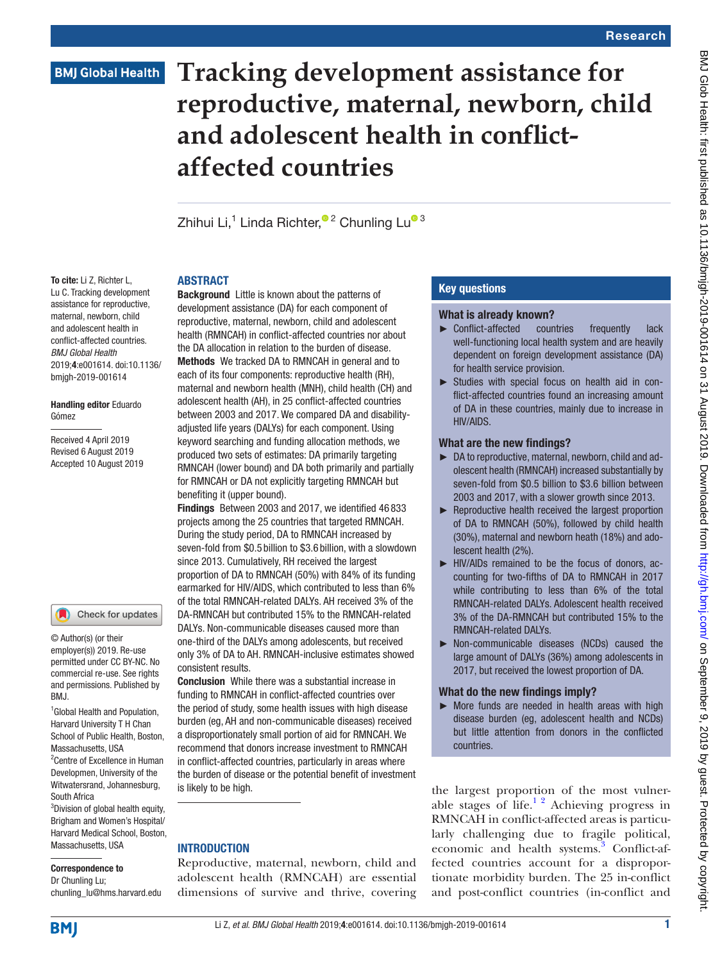# **Tracking development assistance for reproductive, maternal, newborn, child and adolescent health in conflictaffected countries**

Zhihui Li[,](http://orcid.org/0000-0002-3654-3192)<s[u](http://orcid.org/0000-0002-4780-9451)p>1</sup> Linda Richter,<sup>® 2</sup> Chunling Lu<sup>® 3</sup>

# **ABSTRACT**

To cite: Li Z, Richter L, Lu C. Tracking development assistance for reproductive, maternal, newborn, child and adolescent health in conflict-affected countries. *BMJ Global Health* 2019;4:e001614. doi:10.1136/ bmjgh-2019-001614

#### Handling editor Eduardo Gómez

Received 4 April 2019 Revised 6 August 2019 Accepted 10 August 2019

#### Check for updates

© Author(s) (or their employer(s)) 2019. Re-use permitted under CC BY-NC. No commercial re-use. See rights and permissions. Published by BMJ.

<sup>1</sup> Global Health and Population, Harvard University T H Chan School of Public Health, Boston, Massachusetts, USA 2 Centre of Excellence in Human Developmen, University of the Witwatersrand, Johannesburg, South Africa <sup>3</sup>Division of global health equity,

Brigham and Women's Hospital/ Harvard Medical School, Boston, Massachusetts, USA

#### Correspondence to

Dr Chunling Lu; chunling\_lu@hms.harvard.edu

Background Little is known about the patterns of development assistance (DA) for each component of reproductive, maternal, newborn, child and adolescent health (RMNCAH) in conflict-affected countries nor about the DA allocation in relation to the burden of disease. Methods We tracked DA to RMNCAH in general and to each of its four components: reproductive health (RH), maternal and newborn health (MNH), child health (CH) and adolescent health (AH), in 25 conflict-affected countries between 2003 and 2017. We compared DA and disabilityadjusted life years (DALYs) for each component. Using keyword searching and funding allocation methods, we produced two sets of estimates: DA primarily targeting RMNCAH (lower bound) and DA both primarily and partially for RMNCAH or DA not explicitly targeting RMNCAH but benefiting it (upper bound).

Findings Between 2003 and 2017, we identified 46 833 projects among the 25 countries that targeted RMNCAH. During the study period, DA to RMNCAH increased by seven-fold from \$0.5 billion to \$3.6 billion, with a slowdown since 2013. Cumulatively, RH received the largest proportion of DA to RMNCAH (50%) with 84% of its funding earmarked for HIV/AIDS, which contributed to less than 6% of the total RMNCAH-related DALYs. AH received 3% of the DA-RMNCAH but contributed 15% to the RMNCAH-related DALYs. Non-communicable diseases caused more than one-third of the DALYs among adolescents, but received only 3% of DA to AH. RMNCAH-inclusive estimates showed consistent results.

Conclusion While there was a substantial increase in funding to RMNCAH in conflict-affected countries over the period of study, some health issues with high disease burden (eg, AH and non-communicable diseases) received a disproportionately small portion of aid for RMNCAH. We recommend that donors increase investment to RMNCAH in conflict-affected countries, particularly in areas where the burden of disease or the potential benefit of investment is likely to be high.

#### **INTRODUCTION**

Reproductive, maternal, newborn, child and adolescent health (RMNCAH) are essential dimensions of survive and thrive, covering

# Key questions

- What is already known?<br>  $\triangleright$  Conflict-affected countries ► Conflict-affected countries frequently lack well-functioning local health system and are heavily dependent on foreign development assistance (DA) for health service provision.
- ► Studies with special focus on health aid in conflict-affected countries found an increasing amount of DA in these countries, mainly due to increase in HIV/AIDS.

#### What are the new findings?

- ► DA to reproductive, maternal, newborn, child and adolescent health (RMNCAH) increased substantially by seven-fold from \$0.5 billion to \$3.6 billion between 2003 and 2017, with a slower growth since 2013.
- ► Reproductive health received the largest proportion of DA to RMNCAH (50%), followed by child health (30%), maternal and newborn heath (18%) and adolescent health (2%).
- ► HIV/AIDs remained to be the focus of donors, accounting for two-fifths of DA to RMNCAH in 2017 while contributing to less than 6% of the total RMNCAH-related DALYs. Adolescent health received 3% of the DA-RMNCAH but contributed 15% to the RMNCAH-related DALYs.
- ► Non-communicable diseases (NCDs) caused the large amount of DALYs (36%) among adolescents in 2017, but received the lowest proportion of DA.

#### What do the new findings imply?

 $\triangleright$  More funds are needed in health areas with high disease burden (eg, adolescent health and NCDs) but little attention from donors in the conflicted countries.

the largest proportion of the most vulnerable stages of life. $12$  Achieving progress in RMNCAH in conflict-affected areas is particularly challenging due to fragile political, economic and health systems.<sup>[3](#page-10-1)</sup> Conflict-affected countries account for a disproportionate morbidity burden. The 25 in-conflict and post-conflict countries (in-conflict and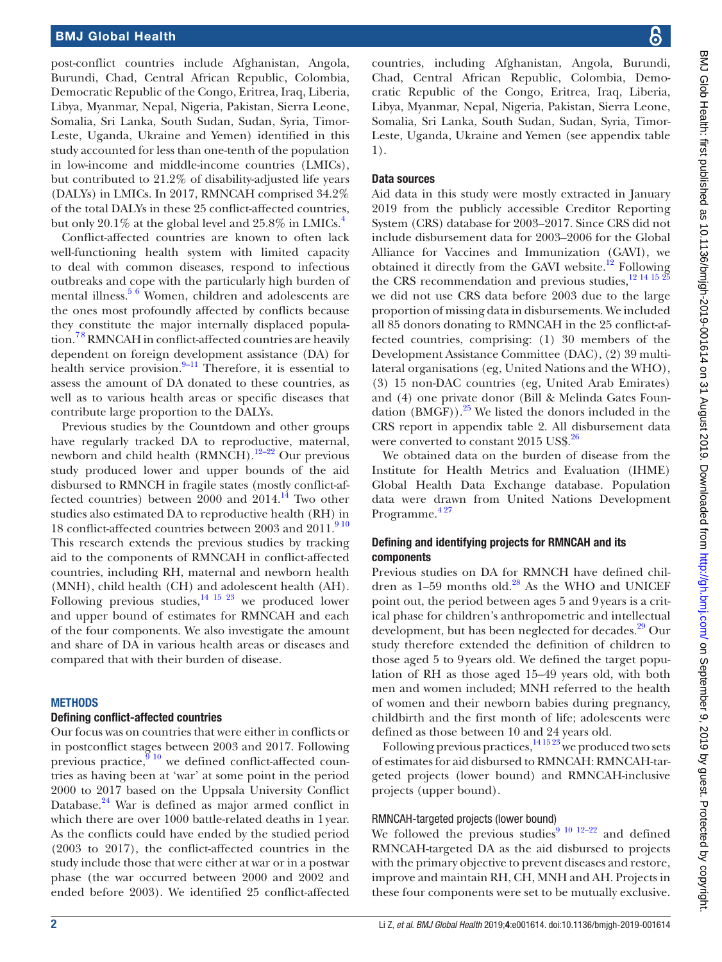post-conflict countries include Afghanistan, Angola, Burundi, Chad, Central African Republic, Colombia, Democratic Republic of the Congo, Eritrea, Iraq, Liberia, Libya, Myanmar, Nepal, Nigeria, Pakistan, Sierra Leone, Somalia, Sri Lanka, South Sudan, Sudan, Syria, Timor-Leste, Uganda, Ukraine and Yemen) identified in this study accounted for less than one-tenth of the population in low-income and middle-income countries (LMICs), but contributed to 21.2% of disability-adjusted life years (DALYs) in LMICs. In 2017, RMNCAH comprised 34.2% of the total DALYs in these 25 conflict-affected countries, but only 20.1% at the global level and  $25.8\%$  in LMICs.<sup>4</sup>

Conflict-affected countries are known to often lack well-functioning health system with limited capacity to deal with common diseases, respond to infectious outbreaks and cope with the particularly high burden of mental illness.<sup>[5 6](#page-10-3)</sup> Women, children and adolescents are the ones most profoundly affected by conflicts because they constitute the major internally displaced population.[7 8](#page-10-4) RMNCAH in conflict-affected countries are heavily dependent on foreign development assistance (DA) for health service provision. $9-11$  Therefore, it is essential to assess the amount of DA donated to these countries, as well as to various health areas or specific diseases that contribute large proportion to the DALYs.

Previous studies by the Countdown and other groups have regularly tracked DA to reproductive, maternal, newborn and child health (RMNCH).<sup>12–22</sup> Our previous study produced lower and upper bounds of the aid disbursed to RMNCH in fragile states (mostly conflict-affected countries) between  $2000$  and  $2014$  $2014$ .<sup>14</sup> Two other studies also estimated DA to reproductive health (RH) in 18 conflict-affected countries between 2003 and 2011.<sup>910</sup> This research extends the previous studies by tracking aid to the components of RMNCAH in conflict-affected countries, including RH, maternal and newborn health (MNH), child health (CH) and adolescent health (AH). Following previous studies, $14^{15}$   $23^{14}$  we produced lower and upper bound of estimates for RMNCAH and each of the four components. We also investigate the amount and share of DA in various health areas or diseases and compared that with their burden of disease.

#### **METHODS**

#### Defining conflict-affected countries

Our focus was on countries that were either in conflicts or in postconflict stages between 2003 and 2017. Following previous practice, $9^{10}$  we defined conflict-affected countries as having been at 'war' at some point in the period 2000 to 2017 based on the Uppsala University Conflict Database.[24](#page-11-0) War is defined as major armed conflict in which there are over 1000 battle-related deaths in 1year. As the conflicts could have ended by the studied period (2003 to 2017), the conflict-affected countries in the study include those that were either at war or in a postwar phase (the war occurred between 2000 and 2002 and ended before 2003). We identified 25 conflict-affected

countries, including Afghanistan, Angola, Burundi, Chad, Central African Republic, Colombia, Democratic Republic of the Congo, Eritrea, Iraq, Liberia, Libya, Myanmar, Nepal, Nigeria, Pakistan, Sierra Leone, Somalia, Sri Lanka, South Sudan, Sudan, Syria, Timor-Leste, Uganda, Ukraine and Yemen (see [appendix table](https://dx.doi.org/10.1136/bmjgh-2019-001614) [1](https://dx.doi.org/10.1136/bmjgh-2019-001614)).

#### Data sources

Aid data in this study were mostly extracted in January 2019 from the publicly accessible Creditor Reporting System (CRS) database for 2003–2017. Since CRS did not include disbursement data for 2003–2006 for the Global Alliance for Vaccines and Immunization (GAVI), we obtained it directly from the GAVI website. $^{12}$  Following the CRS recommendation and previous studies, $^{12}$  14 15  $^{25}$ we did not use CRS data before 2003 due to the large proportion of missing data in disbursements. We included all 85 donors donating to RMNCAH in the 25 conflict-affected countries, comprising: (1) 30 members of the Development Assistance Committee (DAC), (2) 39 multilateral organisations (eg, United Nations and the WHO), (3) 15 non-DAC countries (eg, United Arab Emirates) and (4) one private donor (Bill & Melinda Gates Foundation  $(BMGF)$ .<sup>25</sup> We listed the donors included in the CRS report in [appendix table 2](https://dx.doi.org/10.1136/bmjgh-2019-001614). All disbursement data were converted to constant 2015 US\$.<sup>26</sup>

We obtained data on the burden of disease from the Institute for Health Metrics and Evaluation (IHME) Global Health Data Exchange database. Population data were drawn from United Nations Development Programme.<sup>427</sup>

#### Defining and identifying projects for RMNCAH and its components

Previous studies on DA for RMNCH have defined children as  $1-59$  months old. $^{28}$  $^{28}$  $^{28}$  As the WHO and UNICEF point out, the period between ages 5 and 9years is a critical phase for children's anthropometric and intellectual development, but has been neglected for decades.<sup>29</sup> Our study therefore extended the definition of children to those aged 5 to 9years old. We defined the target population of RH as those aged 15–49 years old, with both men and women included; MNH referred to the health of women and their newborn babies during pregnancy, childbirth and the first month of life; adolescents were defined as those between 10 and 24 years old.

Following previous practices,  $\frac{141523}{120}$  we produced two sets of estimates for aid disbursed to RMNCAH: RMNCAH-targeted projects (lower bound) and RMNCAH-inclusive projects (upper bound).

# RMNCAH-targeted projects (lower bound)

We followed the previous studies<sup>9 10 12–22</sup> and defined RMNCAH-targeted DA as the aid disbursed to projects with the primary objective to prevent diseases and restore, improve and maintain RH, CH, MNH and AH. Projects in these four components were set to be mutually exclusive.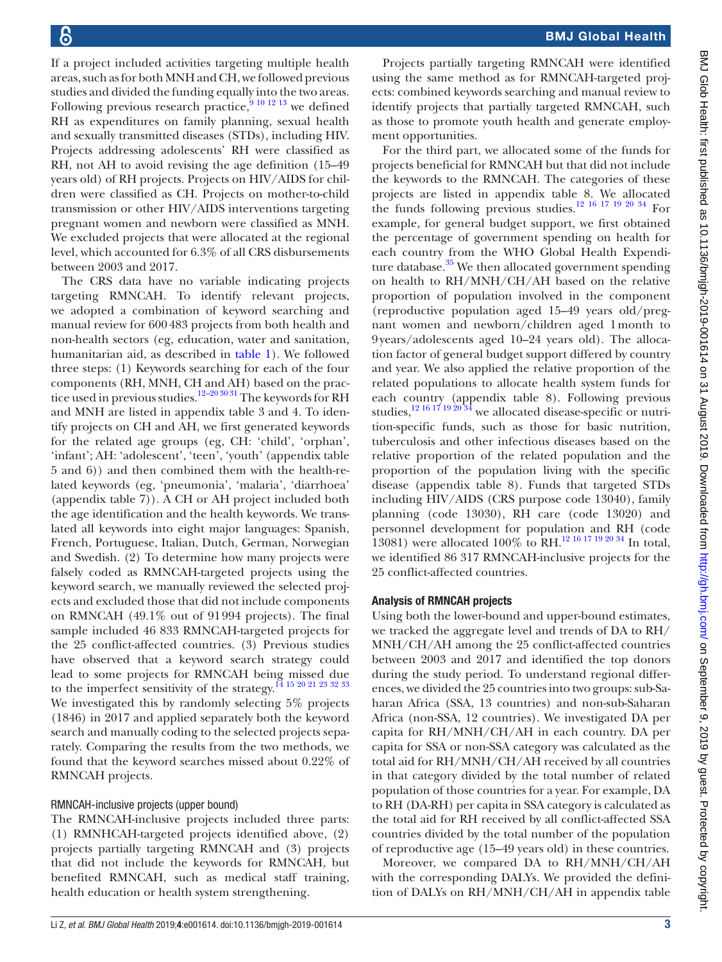If a project included activities targeting multiple health areas, such as for both MNH and CH, we followed previous studies and divided the funding equally into the two areas. Following previous research practice,  $9101213$  we defined RH as expenditures on family planning, sexual health and sexually transmitted diseases (STDs), including HIV. Projects addressing adolescents' RH were classified as RH, not AH to avoid revising the age definition (15–49 years old) of RH projects. Projects on HIV/AIDS for children were classified as CH. Projects on mother-to-child transmission or other HIV/AIDS interventions targeting pregnant women and newborn were classified as MNH. We excluded projects that were allocated at the regional level, which accounted for 6.3% of all CRS disbursements between 2003 and 2017.

The CRS data have no variable indicating projects targeting RMNCAH. To identify relevant projects, we adopted a combination of keyword searching and manual review for 600483 projects from both health and non-health sectors (eg, education, water and sanitation, humanitarian aid, as described in [table](#page-3-0) 1). We followed three steps: (1) Keywords searching for each of the four components (RH, MNH, CH and AH) based on the prac-tice used in previous studies.<sup>[12–20 30 31](#page-10-6)</sup> The keywords for RH and MNH are listed in [appendix table 3 and 4](https://dx.doi.org/10.1136/bmjgh-2019-001614). To identify projects on CH and AH, we first generated keywords for the related age groups (eg, CH: 'child', 'orphan', 'infant'; AH: 'adolescent', 'teen', 'youth' [\(appendix table](https://dx.doi.org/10.1136/bmjgh-2019-001614) [5 and 6](https://dx.doi.org/10.1136/bmjgh-2019-001614))) and then combined them with the health-related keywords (eg, 'pneumonia', 'malaria', 'diarrhoea' [\(appendix table 7](https://dx.doi.org/10.1136/bmjgh-2019-001614))). A CH or AH project included both the age identification and the health keywords. We translated all keywords into eight major languages: Spanish, French, Portuguese, Italian, Dutch, German, Norwegian and Swedish. (2) To determine how many projects were falsely coded as RMNCAH-targeted projects using the keyword search, we manually reviewed the selected projects and excluded those that did not include components on RMNCAH (49.1% out of 91994 projects). The final sample included 46 833 RMNCAH-targeted projects for the 25 conflict-affected countries. (3) Previous studies have observed that a keyword search strategy could lead to some projects for RMNCAH being missed due to the imperfect sensitivity of the strategy.<sup>14</sup> <sup>15</sup> <sup>20</sup> <sup>21</sup> <sup>23</sup> <sup>32</sup> <sup>33</sup> We investigated this by randomly selecting 5% projects (1846) in 2017 and applied separately both the keyword search and manually coding to the selected projects separately. Comparing the results from the two methods, we found that the keyword searches missed about 0.22% of RMNCAH projects.

#### RMNCAH-inclusive projects (upper bound)

The RMNCAH-inclusive projects included three parts: (1) RMNHCAH-targeted projects identified above, (2) projects partially targeting RMNCAH and (3) projects that did not include the keywords for RMNCAH, but benefited RMNCAH, such as medical staff training, health education or health system strengthening.

Projects partially targeting RMNCAH were identified using the same method as for RMNCAH-targeted projects: combined keywords searching and manual review to identify projects that partially targeted RMNCAH, such as those to promote youth health and generate employment opportunities.

For the third part, we allocated some of the funds for projects beneficial for RMNCAH but that did not include the keywords to the RMNCAH. The categories of these projects are listed in [appendix table 8](https://dx.doi.org/10.1136/bmjgh-2019-001614). We allocated the funds following previous studies[.12 16 17 19 20 34](#page-10-6) For example, for general budget support, we first obtained the percentage of government spending on health for each country from the WHO Global Health Expenditure database. $35$  We then allocated government spending on health to RH/MNH/CH/AH based on the relative proportion of population involved in the component (reproductive population aged 15–49 years old/pregnant women and newborn/children aged 1month to 9years/adolescents aged 10–24 years old). The allocation factor of general budget support differed by country and year. We also applied the relative proportion of the related populations to allocate health system funds for each country ([appendix table 8\)](https://dx.doi.org/10.1136/bmjgh-2019-001614). Following previous studies, $12 16 17 19 20 34$  we allocated disease-specific or nutrition-specific funds, such as those for basic nutrition, tuberculosis and other infectious diseases based on the relative proportion of the related population and the proportion of the population living with the specific disease ([appendix table 8](https://dx.doi.org/10.1136/bmjgh-2019-001614)). Funds that targeted STDs including HIV/AIDS (CRS purpose code 13040), family planning (code 13030), RH care (code 13020) and personnel development for population and RH (code 13081) were allocated 100% to RH.[12 16 17 19 20 34](#page-10-6) In total, we identified 86 317 RMNCAH-inclusive projects for the 25 conflict-affected countries.

#### Analysis of RMNCAH projects

Using both the lower-bound and upper-bound estimates, we tracked the aggregate level and trends of DA to RH/ MNH/CH/AH among the 25 conflict-affected countries between 2003 and 2017 and identified the top donors during the study period. To understand regional differences, we divided the 25 countries into two groups: sub-Saharan Africa (SSA, 13 countries) and non-sub-Saharan Africa (non-SSA, 12 countries). We investigated DA per capita for RH/MNH/CH/AH in each country. DA per capita for SSA or non-SSA category was calculated as the total aid for RH/MNH/CH/AH received by all countries in that category divided by the total number of related population of those countries for a year. For example, DA to RH (DA-RH) per capita in SSA category is calculated as the total aid for RH received by all conflict-affected SSA countries divided by the total number of the population of reproductive age (15–49 years old) in these countries.

Moreover, we compared DA to RH/MNH/CH/AH with the corresponding DALYs. We provided the definition of DALYs on RH/MNH/CH/AH in [appendix table](https://dx.doi.org/10.1136/bmjgh-2019-001614)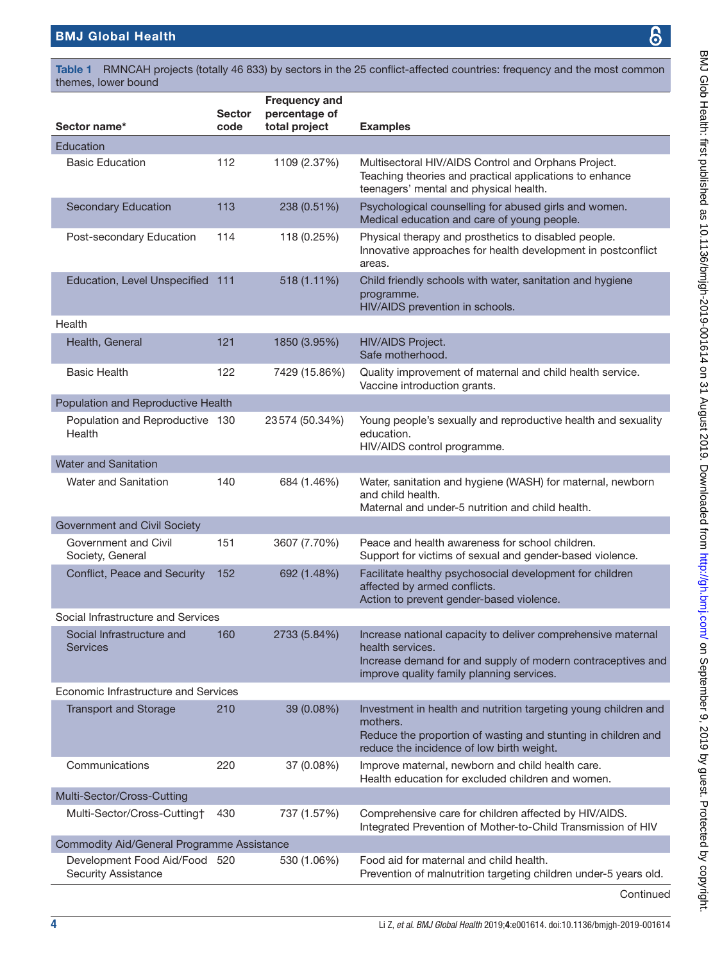<span id="page-3-0"></span>Table 1 RMNCAH projects (totally 46 833) by sectors in the 25 conflict-affected countries: frequency and the most common themes, lower bound

| Sector name*                                                | <b>Sector</b><br>code | <b>Frequency and</b><br>percentage of<br>total project | <b>Examples</b>                                                                                                                                                                              |
|-------------------------------------------------------------|-----------------------|--------------------------------------------------------|----------------------------------------------------------------------------------------------------------------------------------------------------------------------------------------------|
| Education                                                   |                       |                                                        |                                                                                                                                                                                              |
| <b>Basic Education</b>                                      | 112                   | 1109 (2.37%)                                           | Multisectoral HIV/AIDS Control and Orphans Project.<br>Teaching theories and practical applications to enhance<br>teenagers' mental and physical health.                                     |
| <b>Secondary Education</b>                                  | 113                   | 238 (0.51%)                                            | Psychological counselling for abused girls and women.<br>Medical education and care of young people.                                                                                         |
| Post-secondary Education                                    | 114                   | 118 (0.25%)                                            | Physical therapy and prosthetics to disabled people.<br>Innovative approaches for health development in postconflict<br>areas.                                                               |
| Education, Level Unspecified 111                            |                       | 518 (1.11%)                                            | Child friendly schools with water, sanitation and hygiene<br>programme.<br>HIV/AIDS prevention in schools.                                                                                   |
| Health                                                      |                       |                                                        |                                                                                                                                                                                              |
| Health, General                                             | 121                   | 1850 (3.95%)                                           | HIV/AIDS Project.<br>Safe motherhood.                                                                                                                                                        |
| <b>Basic Health</b>                                         | 122                   | 7429 (15.86%)                                          | Quality improvement of maternal and child health service.<br>Vaccine introduction grants.                                                                                                    |
| Population and Reproductive Health                          |                       |                                                        |                                                                                                                                                                                              |
| Population and Reproductive 130<br>Health                   |                       | 23574 (50.34%)                                         | Young people's sexually and reproductive health and sexuality<br>education.<br>HIV/AIDS control programme.                                                                                   |
| <b>Water and Sanitation</b>                                 |                       |                                                        |                                                                                                                                                                                              |
| Water and Sanitation                                        | 140                   | 684 (1.46%)                                            | Water, sanitation and hygiene (WASH) for maternal, newborn<br>and child health.<br>Maternal and under-5 nutrition and child health.                                                          |
| Government and Civil Society                                |                       |                                                        |                                                                                                                                                                                              |
| Government and Civil<br>Society, General                    | 151                   | 3607 (7.70%)                                           | Peace and health awareness for school children.<br>Support for victims of sexual and gender-based violence.                                                                                  |
| Conflict, Peace and Security                                | 152                   | 692 (1.48%)                                            | Facilitate healthy psychosocial development for children<br>affected by armed conflicts.<br>Action to prevent gender-based violence.                                                         |
| Social Infrastructure and Services                          |                       |                                                        |                                                                                                                                                                                              |
| Social Infrastructure and<br>Services                       | 160                   | 2733 (5.84%)                                           | Increase national capacity to deliver comprehensive maternal<br>health services.<br>Increase demand for and supply of modern contraceptives and<br>improve quality family planning services. |
| Economic Infrastructure and Services                        |                       |                                                        |                                                                                                                                                                                              |
| <b>Transport and Storage</b>                                | 210                   | 39 (0.08%)                                             | Investment in health and nutrition targeting young children and<br>mothers.<br>Reduce the proportion of wasting and stunting in children and<br>reduce the incidence of low birth weight.    |
| Communications                                              | 220                   | 37 (0.08%)                                             | Improve maternal, newborn and child health care.<br>Health education for excluded children and women.                                                                                        |
| Multi-Sector/Cross-Cutting                                  |                       |                                                        |                                                                                                                                                                                              |
| Multi-Sector/Cross-Cutting†                                 | 430                   | 737 (1.57%)                                            | Comprehensive care for children affected by HIV/AIDS.<br>Integrated Prevention of Mother-to-Child Transmission of HIV                                                                        |
| Commodity Aid/General Programme Assistance                  |                       |                                                        |                                                                                                                                                                                              |
| Development Food Aid/Food 520<br><b>Security Assistance</b> |                       | 530 (1.06%)                                            | Food aid for maternal and child health.<br>Prevention of malnutrition targeting children under-5 years old.                                                                                  |
|                                                             |                       |                                                        |                                                                                                                                                                                              |

Continued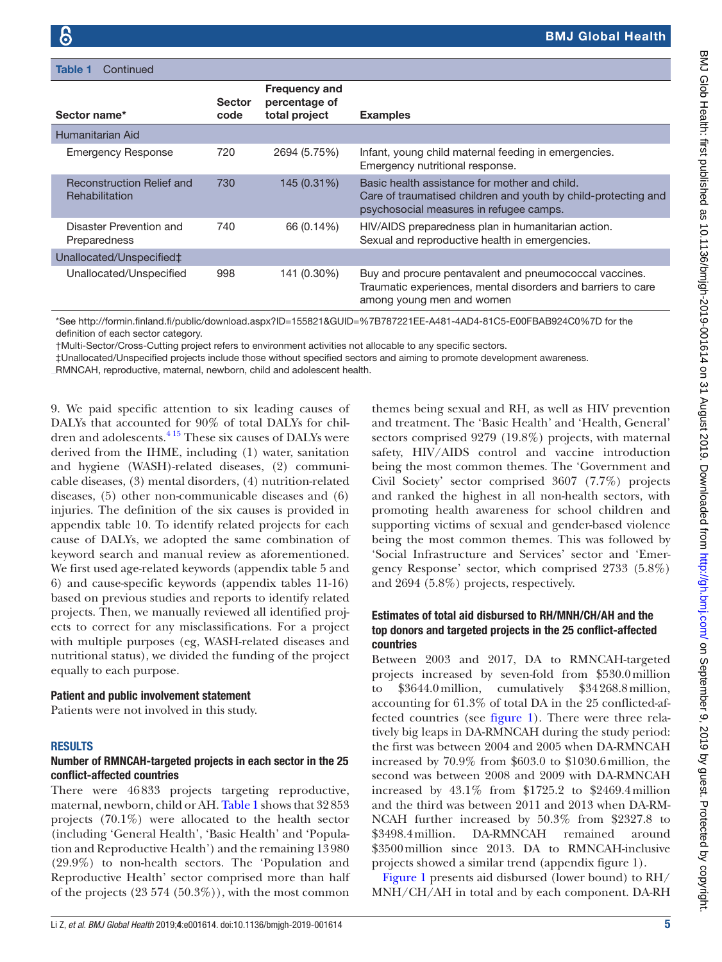Table 1 Continued

| <b>Sector</b><br>code | <b>Frequency and</b><br>percentage of<br>total project | <b>Examples</b>                                                                                                                                            |
|-----------------------|--------------------------------------------------------|------------------------------------------------------------------------------------------------------------------------------------------------------------|
|                       |                                                        |                                                                                                                                                            |
| 720                   | 2694 (5.75%)                                           | Infant, young child maternal feeding in emergencies.<br>Emergency nutritional response.                                                                    |
| 730                   | 145 (0.31%)                                            | Basic health assistance for mother and child.<br>Care of traumatised children and youth by child-protecting and<br>psychosocial measures in refugee camps. |
| 740                   | 66 (0.14%)                                             | HIV/AIDS preparedness plan in humanitarian action.<br>Sexual and reproductive health in emergencies.                                                       |
|                       |                                                        |                                                                                                                                                            |
| 998                   | 141 (0.30%)                                            | Buy and procure pentavalent and pneumococcal vaccines.<br>Traumatic experiences, mental disorders and barriers to care<br>among young men and women        |
|                       |                                                        |                                                                                                                                                            |

\*See <http://formin.finland.fi/public/download.aspx?ID=155821&GUID=%7B787221EE-A481-4AD4-81C5-E00FBAB924C0%7D>for the definition of each sector category.

†Multi-Sector/Cross-Cutting project refers to environment activities not allocable to any specific sectors.

‡Unallocated/Unspecified projects include those without specified sectors and aiming to promote development awareness.

RMNCAH, reproductive, maternal, newborn, child and adolescent health.

[9](https://dx.doi.org/10.1136/bmjgh-2019-001614). We paid specific attention to six leading causes of DALYs that accounted for 90% of total DALYs for children and adolescents.<sup>415</sup> These six causes of DALYs were derived from the IHME, including (1) water, sanitation and hygiene (WASH)-related diseases, (2) communicable diseases, (3) mental disorders, (4) nutrition-related diseases, (5) other non-communicable diseases and (6) injuries. The definition of the six causes is provided in [appendix table 10](https://dx.doi.org/10.1136/bmjgh-2019-001614). To identify related projects for each cause of DALYs, we adopted the same combination of keyword search and manual review as aforementioned. We first used age-related keywords ([appendix table 5 and](https://dx.doi.org/10.1136/bmjgh-2019-001614) [6](https://dx.doi.org/10.1136/bmjgh-2019-001614)) and cause-specific keywords ([appendix tables 11-16\)](https://dx.doi.org/10.1136/bmjgh-2019-001614) based on previous studies and reports to identify related projects. Then, we manually reviewed all identified projects to correct for any misclassifications. For a project with multiple purposes (eg, WASH-related diseases and nutritional status), we divided the funding of the project equally to each purpose.

#### Patient and public involvement statement

Patients were not involved in this study.

#### **RESULTS**

#### Number of RMNCAH-targeted projects in each sector in the 25 conflict-affected countries

There were 46833 projects targeting reproductive, maternal, newborn, child or AH. [Table](#page-3-0) 1 shows that 32853 projects (70.1%) were allocated to the health sector (including 'General Health', 'Basic Health' and 'Population and Reproductive Health') and the remaining 13980 (29.9%) to non-health sectors. The 'Population and Reproductive Health' sector comprised more than half of the projects  $(23 574 (50.3\%))$ , with the most common

themes being sexual and RH, as well as HIV prevention and treatment. The 'Basic Health' and 'Health, General' sectors comprised 9279 (19.8%) projects, with maternal safety, HIV/AIDS control and vaccine introduction being the most common themes. The 'Government and Civil Society' sector comprised 3607 (7.7%) projects and ranked the highest in all non-health sectors, with promoting health awareness for school children and supporting victims of sexual and gender-based violence being the most common themes. This was followed by 'Social Infrastructure and Services' sector and 'Emergency Response' sector, which comprised 2733 (5.8%) and 2694 (5.8%) projects, respectively.

#### Estimates of total aid disbursed to RH/MNH/CH/AH and the top donors and targeted projects in the 25 conflict-affected countries

Between 2003 and 2017, DA to RMNCAH-targeted projects increased by seven-fold from \$530.0million to \$3644.0million, cumulatively \$34268.8million, accounting for 61.3% of total DA in the 25 conflicted-affected countries (see [figure](#page-5-0) 1). There were three relatively big leaps in DA-RMNCAH during the study period: the first was between 2004 and 2005 when DA-RMNCAH increased by 70.9% from \$603.0 to \$1030.6million, the second was between 2008 and 2009 with DA-RMNCAH increased by 43.1% from \$1725.2 to \$2469.4million and the third was between 2011 and 2013 when DA-RM-NCAH further increased by 50.3% from \$2327.8 to \$3498.4million. DA-RMNCAH remained around \$3500million since 2013. DA to RMNCAH-inclusive projects showed a similar trend [\(appendix figure 1\)](https://dx.doi.org/10.1136/bmjgh-2019-001614).

[Figure](#page-5-0) 1 presents aid disbursed (lower bound) to RH/ MNH/CH/AH in total and by each component. DA-RH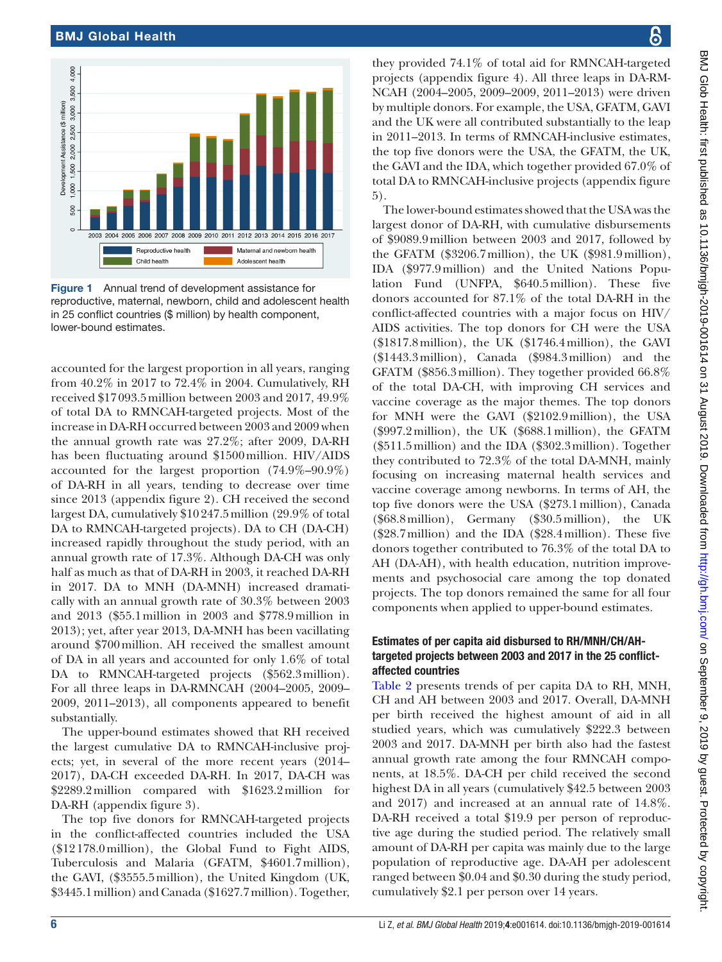

<span id="page-5-0"></span>Figure 1 Annual trend of development assistance for reproductive, maternal, newborn, child and adolescent health in 25 conflict countries (\$ million) by health component, lower-bound estimates.

accounted for the largest proportion in all years, ranging from 40.2% in 2017 to 72.4% in 2004. Cumulatively, RH received \$17093.5million between 2003 and 2017, 49.9% of total DA to RMNCAH-targeted projects. Most of the increase in DA-RH occurred between 2003 and 2009 when the annual growth rate was 27.2%; after 2009, DA-RH has been fluctuating around \$1500million. HIV/AIDS accounted for the largest proportion (74.9%–90.9%) of DA-RH in all years, tending to decrease over time since 2013 [\(appendix figure 2\)](https://dx.doi.org/10.1136/bmjgh-2019-001614). CH received the second largest DA, cumulatively \$10247.5million (29.9% of total DA to RMNCAH-targeted projects). DA to CH (DA-CH) increased rapidly throughout the study period, with an annual growth rate of 17.3%. Although DA-CH was only half as much as that of DA-RH in 2003, it reached DA-RH in 2017. DA to MNH (DA-MNH) increased dramatically with an annual growth rate of 30.3% between 2003 and 2013 (\$55.1million in 2003 and \$778.9million in 2013); yet, after year 2013, DA-MNH has been vacillating around \$700million. AH received the smallest amount of DA in all years and accounted for only 1.6% of total DA to RMNCAH-targeted projects (\$562.3million). For all three leaps in DA-RMNCAH (2004–2005, 2009– 2009, 2011–2013), all components appeared to benefit substantially.

The upper-bound estimates showed that RH received the largest cumulative DA to RMNCAH-inclusive projects; yet, in several of the more recent years (2014– 2017), DA-CH exceeded DA-RH. In 2017, DA-CH was \$2289.2million compared with \$1623.2million for DA-RH [\(appendix figure 3\)](https://dx.doi.org/10.1136/bmjgh-2019-001614).

The top five donors for RMNCAH-targeted projects in the conflict-affected countries included the USA (\$12178.0million), the Global Fund to Fight AIDS, Tuberculosis and Malaria (GFATM, \$4601.7million), the GAVI, (\$3555.5million), the United Kingdom (UK, \$3445.1million) and Canada (\$1627.7million). Together,

န္က they provided 74.1% of total aid for RMNCAH-targeted

projects [\(appendix figure 4\)](https://dx.doi.org/10.1136/bmjgh-2019-001614). All three leaps in DA-RM-NCAH (2004–2005, 2009–2009, 2011–2013) were driven by multiple donors. For example, the USA, GFATM, GAVI and the UK were all contributed substantially to the leap in 2011–2013. In terms of RMNCAH-inclusive estimates, the top five donors were the USA, the GFATM, the UK, the GAVI and the IDA, which together provided 67.0% of total DA to RMNCAH-inclusive projects ([appendix figure](https://dx.doi.org/10.1136/bmjgh-2019-001614) [5](https://dx.doi.org/10.1136/bmjgh-2019-001614)). The lower-bound estimates showed that the USA was the largest donor of DA-RH, with cumulative disbursements of \$9089.9million between 2003 and 2017, followed by the GFATM (\$3206.7million), the UK (\$981.9million), IDA (\$977.9million) and the United Nations Population Fund (UNFPA, \$640.5million). These five donors accounted for 87.1% of the total DA-RH in the conflict-affected countries with a major focus on HIV/ AIDS activities. The top donors for CH were the USA (\$1817.8million), the UK (\$1746.4million), the GAVI (\$1443.3million), Canada (\$984.3million) and the GFATM (\$856.3million). They together provided 66.8% of the total DA-CH, with improving CH services and vaccine coverage as the major themes. The top donors for MNH were the GAVI (\$2102.9million), the USA (\$997.2million), the UK (\$688.1million), the GFATM (\$511.5million) and the IDA (\$302.3million). Together they contributed to 72.3% of the total DA-MNH, mainly focusing on increasing maternal health services and vaccine coverage among newborns. In terms of AH, the top five donors were the USA (\$273.1million), Canada (\$68.8million), Germany (\$30.5million), the UK (\$28.7million) and the IDA (\$28.4million). These five donors together contributed to 76.3% of the total DA to AH (DA-AH), with health education, nutrition improvements and psychosocial care among the top donated projects. The top donors remained the same for all four components when applied to upper-bound estimates.

### Estimates of per capita aid disbursed to RH/MNH/CH/AHtargeted projects between 2003 and 2017 in the 25 conflictaffected countries

[Table](#page-6-0) 2 presents trends of per capita DA to RH, MNH, CH and AH between 2003 and 2017. Overall, DA-MNH per birth received the highest amount of aid in all studied years, which was cumulatively \$222.3 between 2003 and 2017. DA-MNH per birth also had the fastest annual growth rate among the four RMNCAH components, at 18.5%. DA-CH per child received the second highest DA in all years (cumulatively \$42.5 between 2003 and 2017) and increased at an annual rate of 14.8%. DA-RH received a total \$19.9 per person of reproductive age during the studied period. The relatively small amount of DA-RH per capita was mainly due to the large population of reproductive age. DA-AH per adolescent ranged between \$0.04 and \$0.30 during the study period, cumulatively \$2.1 per person over 14 years.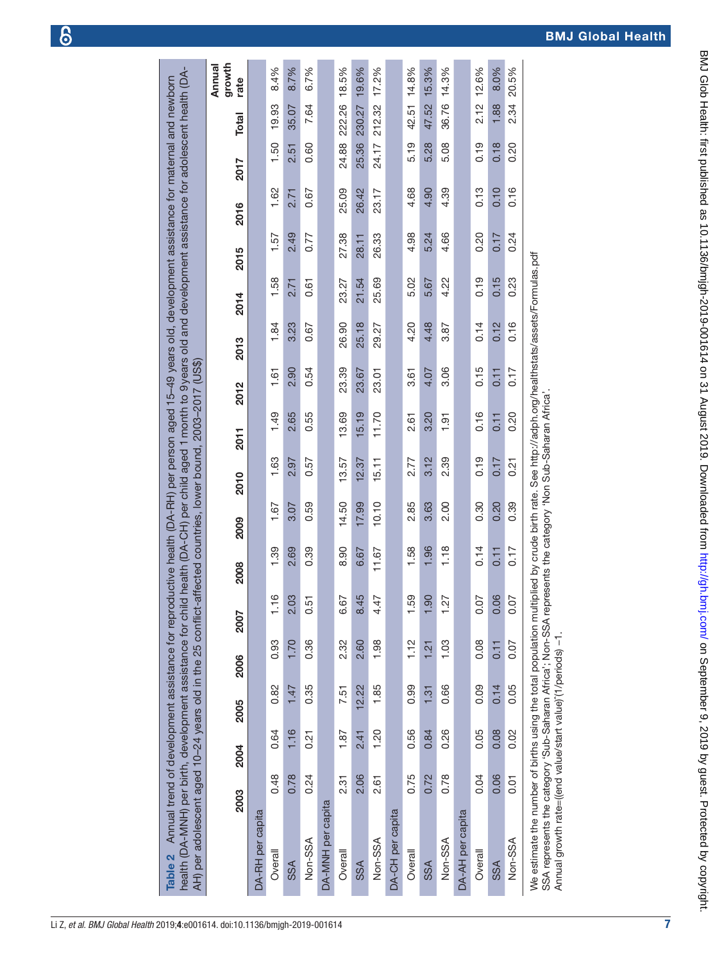<span id="page-6-0"></span>

| Table 2 Annual trend of development assistance for reproductive health (DA-RH) per person aged 15-49 years old, development assistance for maternal and newborn<br>health (DA-MNH) per birth, development assistance for chil-<br>AH) per adolescent aged 10-24 years old in the 25 conflict- |      |             |       |                |                     |       |       |       |       | d health (DA-CH) per child aged 1 month to 9years old and development assistance for adolescent health (DA-<br>affected countries, lower bound, 2003-2017 (US\$) |       |       |       |       |       |              |                          |
|-----------------------------------------------------------------------------------------------------------------------------------------------------------------------------------------------------------------------------------------------------------------------------------------------|------|-------------|-------|----------------|---------------------|-------|-------|-------|-------|------------------------------------------------------------------------------------------------------------------------------------------------------------------|-------|-------|-------|-------|-------|--------------|--------------------------|
|                                                                                                                                                                                                                                                                                               | 2003 | <b>2004</b> | 2005  | 2006           | <b>2007</b>         | 2008  | 2009  | 2010  | 2011  | 2012                                                                                                                                                             | 2013  | 2014  | 2015  | 2016  | 2017  | <b>Total</b> | growth<br>Annual<br>rate |
| DA-RH per capita                                                                                                                                                                                                                                                                              |      |             |       |                |                     |       |       |       |       |                                                                                                                                                                  |       |       |       |       |       |              |                          |
| Overall                                                                                                                                                                                                                                                                                       | 0.48 | 0.64        | 0.82  | 0.93           | ဖ<br>픋              | 1.39  | 1.67  | 1.63  | 1.49  | 1.61                                                                                                                                                             | 1.84  | 1.58  | 1.57  | 1.62  | 1.50  | 19.93        | 8.4%                     |
| SSA                                                                                                                                                                                                                                                                                           | 0.78 | 1.16        | 1.47  | 1.70           | 2.03                | 2.69  | 3.07  | 2.97  | 2.65  | 2.90                                                                                                                                                             | 3.23  | 2.71  | 2.49  | 2.71  | 2.51  | 35.07        | 8.7%                     |
| Non-SSA                                                                                                                                                                                                                                                                                       | 0.24 | 0.21        | 0.35  | 0.36           | 0.51                | 0.39  | 0.59  | 0.57  | 0.55  | 0.54                                                                                                                                                             | 0.67  | 0.61  | 0.77  | 0.67  | 0.60  | 7.64         | 6.7%                     |
| DA-MNH per capita                                                                                                                                                                                                                                                                             |      |             |       |                |                     |       |       |       |       |                                                                                                                                                                  |       |       |       |       |       |              |                          |
| Overall                                                                                                                                                                                                                                                                                       | 2.31 | 1.87        | 7.51  | 2.32           | 67<br>õ             | 8.90  | 14.50 | 13.57 | 13.69 | 23.39                                                                                                                                                            | 26.90 | 23.27 | 27.38 | 25.09 | 24.88 | 222.26       | 18.5%                    |
| SSA                                                                                                                                                                                                                                                                                           | 2.06 | 2.41        | 12.22 | 2.60           | 45<br>$\frac{4}{3}$ | 6.67  | 17.99 | 12.37 | 15.19 | 23.67                                                                                                                                                            | 25.18 | 21.54 | 28.11 | 26.42 | 25.36 | 230.27       | 19.6%                    |
| Non-SSA                                                                                                                                                                                                                                                                                       | 2.61 | 1.20        | 1.85  | 1.98           | 4.47                | 11.67 | 10.10 | 15.11 | 11.70 | 23.01                                                                                                                                                            | 29.27 | 25.69 | 26.33 | 23.17 | 24.17 | 212.32       | 17.2%                    |
| DA-CH per capita                                                                                                                                                                                                                                                                              |      |             |       |                |                     |       |       |       |       |                                                                                                                                                                  |       |       |       |       |       |              |                          |
| Overall                                                                                                                                                                                                                                                                                       | 0.75 | 0.56        | 0.99  | 1.12           | 1.59                | 1.58  | 2.85  | 2.77  | 2.61  | 3.61                                                                                                                                                             | 4.20  | 5.02  | 4.98  | 4.68  | 5.19  | 42.51        | 14.8%                    |
| SSA                                                                                                                                                                                                                                                                                           | 0.72 | 0.84        | 1.31  | $\frac{21}{2}$ | 1.90                | 1.96  | 3.63  | 3.12  | 3.20  | 4.07                                                                                                                                                             | 4.48  | 5.67  | 5.24  | 4.90  | 5.28  | 47.52        | 15.3%                    |
| Non-SSA                                                                                                                                                                                                                                                                                       | 0.78 | 0.26        | 0.66  | 1.03           | 1.27                | 1.18  | 2.00  | 2.39  | 1.91  | 3.06                                                                                                                                                             | 3.87  | 4.22  | 4.66  | 4.39  | 5.08  | 36.76        | 14.3%                    |
| DA-AH per capita                                                                                                                                                                                                                                                                              |      |             |       |                |                     |       |       |       |       |                                                                                                                                                                  |       |       |       |       |       |              |                          |
| Overall                                                                                                                                                                                                                                                                                       | 0.04 | 0.05        | 0.09  | 0.08           | 0.07                | 0.14  | 0.30  | 0.19  | 0.16  | 0.15                                                                                                                                                             | 0.14  | 0.19  | 0.20  | 0.13  | 0.19  | 2.12         | 12.6%                    |
| SSA                                                                                                                                                                                                                                                                                           | 0.06 | 0.08        | 0.14  | 0.11           | 0.06                | 0.11  | 0.20  | 0.17  | 0.11  | 0.11                                                                                                                                                             | 0.12  | 0.15  | 0.17  | 0.10  | 0.18  | 1.88         | 8.0%                     |
| Non-SSA                                                                                                                                                                                                                                                                                       | 0.01 | 0.02        | 0.05  | 0.07           | 0.07                | 0.17  | 0.39  | 0.21  | 0.20  | 0.17                                                                                                                                                             | 0.16  | 0.23  | 0.24  | 0.16  | 0.20  | 2.34         | 20.5%                    |
| SSA represents the category 'Sub-Saharan Africa'; Non-SSA represents the category 'Non Sub-Saharan Africa'<br>We estimate the number of births using the total population mult<br>Annual growth rate=((end value/start value) (1/periods) -1.                                                 |      |             |       |                |                     |       |       |       |       | iplied by crude birth rate. See http://adph.org/healthstats/assets/Formulas.pdf                                                                                  |       |       |       |       |       |              |                          |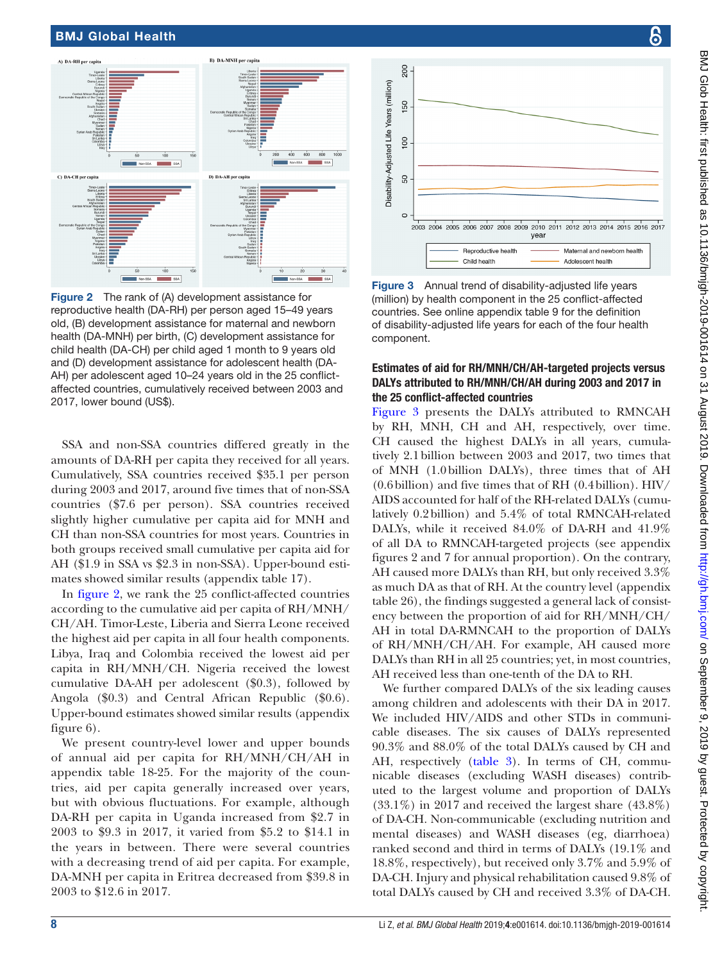

<span id="page-7-0"></span>Figure 2 The rank of (A) development assistance for reproductive health (DA-RH) per person aged 15–49 years old, (B) development assistance for maternal and newborn health (DA-MNH) per birth, (C) development assistance for child health (DA-CH) per child aged 1 month to 9 years old and (D) development assistance for adolescent health (DA-AH) per adolescent aged 10–24 years old in the 25 conflictaffected countries, cumulatively received between 2003 and 2017, lower bound (US\$).

SSA and non-SSA countries differed greatly in the amounts of DA-RH per capita they received for all years. Cumulatively, SSA countries received \$35.1 per person during 2003 and 2017, around five times that of non-SSA countries (\$7.6 per person). SSA countries received slightly higher cumulative per capita aid for MNH and CH than non-SSA countries for most years. Countries in both groups received small cumulative per capita aid for AH (\$1.9 in SSA vs \$2.3 in non-SSA). Upper-bound estimates showed similar results ([appendix table 17](https://dx.doi.org/10.1136/bmjgh-2019-001614)).

In [figure](#page-7-0) 2, we rank the 25 conflict-affected countries according to the cumulative aid per capita of RH/MNH/ CH/AH. Timor-Leste, Liberia and Sierra Leone received the highest aid per capita in all four health components. Libya, Iraq and Colombia received the lowest aid per capita in RH/MNH/CH. Nigeria received the lowest cumulative DA-AH per adolescent (\$0.3), followed by Angola (\$0.3) and Central African Republic (\$0.6). Upper-bound estimates showed similar results [\(appendix](https://dx.doi.org/10.1136/bmjgh-2019-001614)  [figure 6\)](https://dx.doi.org/10.1136/bmjgh-2019-001614).

We present country-level lower and upper bounds of annual aid per capita for RH/MNH/CH/AH in [appendix table 18-25](https://dx.doi.org/10.1136/bmjgh-2019-001614). For the majority of the countries, aid per capita generally increased over years, but with obvious fluctuations. For example, although DA-RH per capita in Uganda increased from \$2.7 in 2003 to \$9.3 in 2017, it varied from \$5.2 to \$14.1 in the years in between. There were several countries with a decreasing trend of aid per capita. For example, DA-MNH per capita in Eritrea decreased from \$39.8 in 2003 to \$12.6 in 2017.



<span id="page-7-1"></span>Figure 3 Annual trend of disability-adjusted life years (million) by health component in the 25 conflict-affected countries. See [online appendix table 9](https://dx.doi.org/10.1136/bmjgh-2019-001614) for the definition of disability-adjusted life years for each of the four health component.

#### Estimates of aid for RH/MNH/CH/AH-targeted projects versus DALYs attributed to RH/MNH/CH/AH during 2003 and 2017 in the 25 conflict-affected countries

[Figure](#page-7-1) 3 presents the DALYs attributed to RMNCAH by RH, MNH, CH and AH, respectively, over time. CH caused the highest DALYs in all years, cumulatively 2.1billion between 2003 and 2017, two times that of MNH (1.0billion DALYs), three times that of AH (0.6billion) and five times that of RH (0.4billion). HIV/ AIDS accounted for half of the RH-related DALYs (cumulatively 0.2billion) and 5.4% of total RMNCAH-related DALYs, while it received 84.0% of DA-RH and 41.9% of all DA to RMNCAH-targeted projects (see [appendix](https://dx.doi.org/10.1136/bmjgh-2019-001614) [figures 2 and 7](https://dx.doi.org/10.1136/bmjgh-2019-001614) for annual proportion). On the contrary, AH caused more DALYs than RH, but only received 3.3% as much DA as that of RH. At the country level [\(appendix](https://dx.doi.org/10.1136/bmjgh-2019-001614) [table 26](https://dx.doi.org/10.1136/bmjgh-2019-001614)), the findings suggested a general lack of consistency between the proportion of aid for RH/MNH/CH/ AH in total DA-RMNCAH to the proportion of DALYs of RH/MNH/CH/AH. For example, AH caused more DALYs than RH in all 25 countries; yet, in most countries, AH received less than one-tenth of the DA to RH.

We further compared DALYs of the six leading causes among children and adolescents with their DA in 2017. We included HIV/AIDS and other STDs in communicable diseases. The six causes of DALYs represented 90.3% and 88.0% of the total DALYs caused by CH and AH, respectively [\(table](#page-8-0) 3). In terms of CH, communicable diseases (excluding WASH diseases) contributed to the largest volume and proportion of DALYs  $(33.1\%)$  in 2017 and received the largest share  $(43.8\%)$ of DA-CH. Non-communicable (excluding nutrition and mental diseases) and WASH diseases (eg, diarrhoea) ranked second and third in terms of DALYs (19.1% and 18.8%, respectively), but received only 3.7% and 5.9% of DA-CH. Injury and physical rehabilitation caused 9.8% of total DALYs caused by CH and received 3.3% of DA-CH.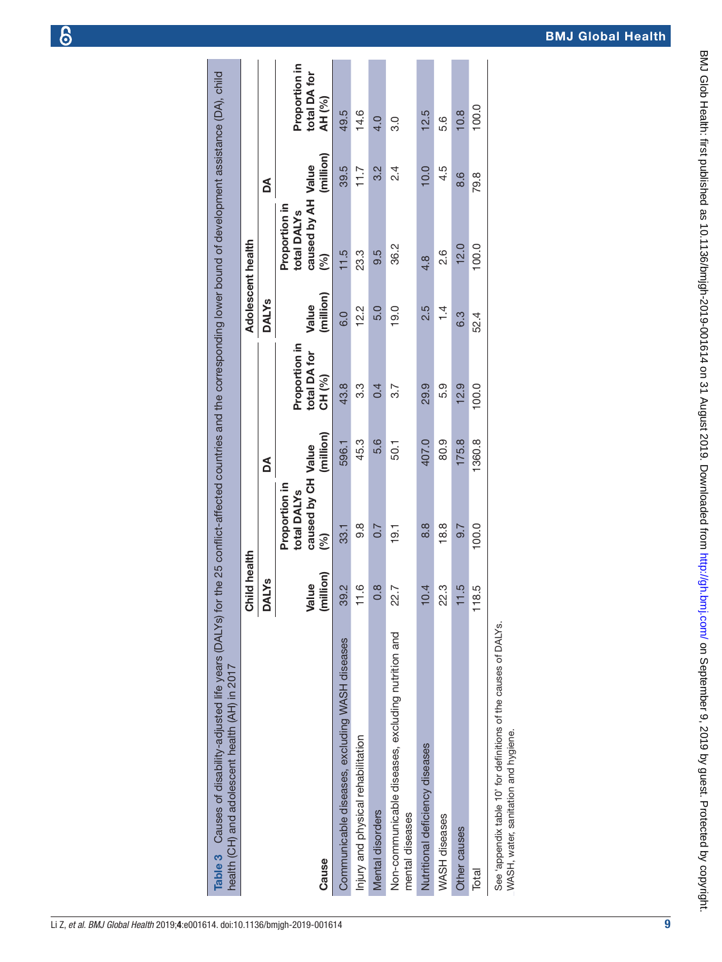<span id="page-8-0"></span>

|  |  | Li Z, et al. BMJ Global Health 2019;4:e001614. doi:10.1136/bmjgh-2019-001614 |  |
|--|--|------------------------------------------------------------------------------|--|
|  |  |                                                                              |  |

| Table 3 Causes of disability-adjusted life years (DALYs) for the 25 conflict-affected countries and the corresponding lower bound of development assistance (DA), child<br>health (CH) and adolescent health (AH) in 2017 |                    |                                                                       |           |                                                    |                    |                                                                       |           |                                         |
|---------------------------------------------------------------------------------------------------------------------------------------------------------------------------------------------------------------------------|--------------------|-----------------------------------------------------------------------|-----------|----------------------------------------------------|--------------------|-----------------------------------------------------------------------|-----------|-----------------------------------------|
|                                                                                                                                                                                                                           | Child health       |                                                                       |           |                                                    | Adolescent health  |                                                                       |           |                                         |
|                                                                                                                                                                                                                           | <b>DALYS</b>       |                                                                       | Å         |                                                    | <b>DALYS</b>       |                                                                       | á         |                                         |
| Cause                                                                                                                                                                                                                     | (million)<br>Value | caused by CH Value<br>Proportion in<br>total DALY <sub>S</sub><br>(%) | (million) | Proportion in<br>total DA for<br>CH <sub>(%)</sub> | (million)<br>Value | caused by AH Value<br>Proportion in<br>total DALY <sub>S</sub><br>(%) | (million) | Proportion in<br>total DA for<br>AH (%) |
| Communicable diseases, excluding WASH diseases                                                                                                                                                                            | 39.2               | 33.1                                                                  | 596.1     | 43.8                                               | $\overline{6}$ .0  | 11.5                                                                  | 39.5      | 49.5                                    |
| Injury and physical rehabilitation                                                                                                                                                                                        | <u>ي</u>           | 8.6                                                                   | 45.3      | ვ.<br>თ                                            | 12.2               | 23.3                                                                  | 11.7      | 14.6                                    |
| Mental disorders                                                                                                                                                                                                          | $\frac{8}{2}$      | $\overline{0.7}$                                                      | 5.6       | 0.4                                                | 5.0                | 9.5                                                                   | 3.2       | 4.0                                     |
| Non-communicable diseases, excluding nutrition and<br>mental diseases                                                                                                                                                     | 22.7               | 19.1                                                                  | 50.1      | ვ.7                                                | 19.0               | 36.2                                                                  | $2\cdot$  | 3.0                                     |
| Nutritional deficiency diseases                                                                                                                                                                                           | 10.4               | 8.8                                                                   | 407.0     | 29.9                                               | 2.5                | 4.8                                                                   | 10.0      | 12.5                                    |
| WASH diseases                                                                                                                                                                                                             | က္<br>S            | 18.8                                                                  | 80.9      | 5.9                                                | $\overline{4}$     | 0.<br>2.                                                              | 4.5       | 5.6                                     |
| Other causes                                                                                                                                                                                                              | τÙ.                | 9.7                                                                   | 175.8     | 12.9                                               | 6.3                | 12.0                                                                  | 8.6       | 10.8                                    |
| Total                                                                                                                                                                                                                     | 118.5              | 100.0                                                                 | 1360.8    | 100.0                                              | 52.4               | 100.0                                                                 | 79.8      | 100.0                                   |
|                                                                                                                                                                                                                           |                    |                                                                       |           |                                                    |                    |                                                                       |           |                                         |

See 'appendix table 10' for definitions of the causes of DALYs.<br>WASH, water, sanitation and hygiene. See '[appendix table 10](https://dx.doi.org/10.1136/bmjgh-2019-001614)' for definitions of the causes of DALYs. WASH, water, sanitation and hygiene.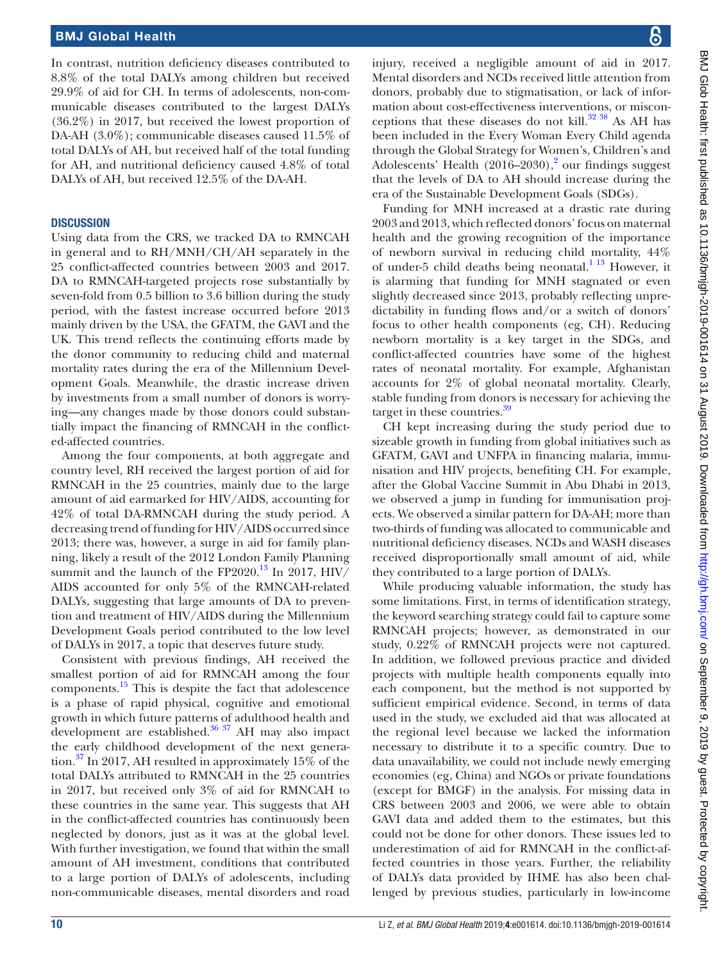In contrast, nutrition deficiency diseases contributed to 8.8% of the total DALYs among children but received 29.9% of aid for CH. In terms of adolescents, non-communicable diseases contributed to the largest DALYs (36.2%) in 2017, but received the lowest proportion of DA-AH (3.0%); communicable diseases caused 11.5% of total DALYs of AH, but received half of the total funding for AH, and nutritional deficiency caused 4.8% of total DALYs of AH, but received 12.5% of the DA-AH.

#### **DISCUSSION**

Using data from the CRS, we tracked DA to RMNCAH in general and to RH/MNH/CH/AH separately in the 25 conflict-affected countries between 2003 and 2017. DA to RMNCAH-targeted projects rose substantially by seven-fold from 0.5 billion to 3.6 billion during the study period, with the fastest increase occurred before 2013 mainly driven by the USA, the GFATM, the GAVI and the UK. This trend reflects the continuing efforts made by the donor community to reducing child and maternal mortality rates during the era of the Millennium Development Goals. Meanwhile, the drastic increase driven by investments from a small number of donors is worrying—any changes made by those donors could substantially impact the financing of RMNCAH in the conflicted-affected countries.

Among the four components, at both aggregate and country level, RH received the largest portion of aid for RMNCAH in the 25 countries, mainly due to the large amount of aid earmarked for HIV/AIDS, accounting for 42% of total DA-RMNCAH during the study period. A decreasing trend of funding for HIV/AIDS occurred since 2013; there was, however, a surge in aid for family planning, likely a result of the 2012 London Family Planning summit and the launch of the FP2020.<sup>13</sup> In 2017, HIV/ AIDS accounted for only 5% of the RMNCAH-related DALYs, suggesting that large amounts of DA to prevention and treatment of HIV/AIDS during the Millennium Development Goals period contributed to the low level of DALYs in 2017, a topic that deserves future study.

Consistent with previous findings, AH received the smallest portion of aid for RMNCAH among the four components. $^{15}$  This is despite the fact that adolescence is a phase of rapid physical, cognitive and emotional growth in which future patterns of adulthood health and development are established. $36\frac{37}{10}$  AH may also impact the early childhood development of the next generation.[37](#page-11-7) In 2017, AH resulted in approximately 15% of the total DALYs attributed to RMNCAH in the 25 countries in 2017, but received only 3% of aid for RMNCAH to these countries in the same year. This suggests that AH in the conflict-affected countries has continuously been neglected by donors, just as it was at the global level. With further investigation, we found that within the small amount of AH investment, conditions that contributed to a large portion of DALYs of adolescents, including non-communicable diseases, mental disorders and road

injury, received a negligible amount of aid in 2017. Mental disorders and NCDs received little attention from donors, probably due to stigmatisation, or lack of information about cost-effectiveness interventions, or misconceptions that these diseases do not kill. $32 \frac{38}{15}$  As AH has been included in the Every Woman Every Child agenda through the Global Strategy for Women's, Children's and Adolescents' Health  $(2016-2030),<sup>2</sup>$  $(2016-2030),<sup>2</sup>$  $(2016-2030),<sup>2</sup>$  our findings suggest that the levels of DA to AH should increase during the era of the Sustainable Development Goals (SDGs).

Funding for MNH increased at a drastic rate during 2003 and 2013, which reflected donors' focus on maternal health and the growing recognition of the importance of newborn survival in reducing child mortality, 44% of under-5 child deaths being neonatal.<sup>1</sup> <sup>13</sup> However, it is alarming that funding for MNH stagnated or even slightly decreased since 2013, probably reflecting unpredictability in funding flows and/or a switch of donors' focus to other health components (eg, CH). Reducing newborn mortality is a key target in the SDGs, and conflict-affected countries have some of the highest rates of neonatal mortality. For example, Afghanistan accounts for 2% of global neonatal mortality. Clearly, stable funding from donors is necessary for achieving the target in these countries.<sup>[39](#page-11-9)</sup>

CH kept increasing during the study period due to sizeable growth in funding from global initiatives such as GFATM, GAVI and UNFPA in financing malaria, immunisation and HIV projects, benefiting CH. For example, after the Global Vaccine Summit in Abu Dhabi in 2013, we observed a jump in funding for immunisation projects. We observed a similar pattern for DA-AH; more than two-thirds of funding was allocated to communicable and nutritional deficiency diseases. NCDs and WASH diseases received disproportionally small amount of aid, while they contributed to a large portion of DALYs.

While producing valuable information, the study has some limitations. First, in terms of identification strategy, the keyword searching strategy could fail to capture some RMNCAH projects; however, as demonstrated in our study, 0.22% of RMNCAH projects were not captured. In addition, we followed previous practice and divided projects with multiple health components equally into each component, but the method is not supported by sufficient empirical evidence. Second, in terms of data used in the study, we excluded aid that was allocated at the regional level because we lacked the information necessary to distribute it to a specific country. Due to data unavailability, we could not include newly emerging economies (eg, China) and NGOs or private foundations (except for BMGF) in the analysis. For missing data in CRS between 2003 and 2006, we were able to obtain GAVI data and added them to the estimates, but this could not be done for other donors. These issues led to underestimation of aid for RMNCAH in the conflict-affected countries in those years. Further, the reliability of DALYs data provided by IHME has also been challenged by previous studies, particularly in low-income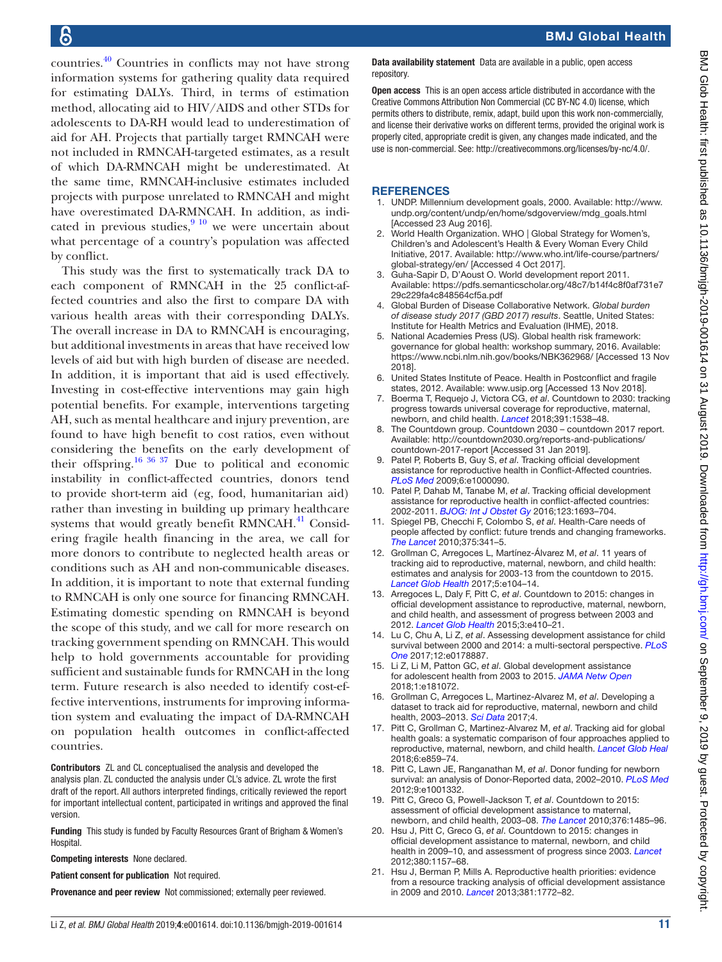countries[.40](#page-11-10) Countries in conflicts may not have strong information systems for gathering quality data required for estimating DALYs. Third, in terms of estimation method, allocating aid to HIV/AIDS and other STDs for adolescents to DA-RH would lead to underestimation of aid for AH. Projects that partially target RMNCAH were not included in RMNCAH-targeted estimates, as a result of which DA-RMNCAH might be underestimated. At the same time, RMNCAH-inclusive estimates included projects with purpose unrelated to RMNCAH and might have overestimated DA-RMNCAH. In addition, as indicated in previous studies, $9^{10}$  we were uncertain about what percentage of a country's population was affected by conflict.

This study was the first to systematically track DA to each component of RMNCAH in the 25 conflict-affected countries and also the first to compare DA with various health areas with their corresponding DALYs. The overall increase in DA to RMNCAH is encouraging, but additional investments in areas that have received low levels of aid but with high burden of disease are needed. In addition, it is important that aid is used effectively. Investing in cost-effective interventions may gain high potential benefits. For example, interventions targeting AH, such as mental healthcare and injury prevention, are found to have high benefit to cost ratios, even without considering the benefits on the early development of their offspring.<sup>16 36 37</sup> Due to political and economic instability in conflict-affected countries, donors tend to provide short-term aid (eg, food, humanitarian aid) rather than investing in building up primary healthcare systems that would greatly benefit RMNCAH. $^{41}$  $^{41}$  $^{41}$  Considering fragile health financing in the area, we call for more donors to contribute to neglected health areas or conditions such as AH and non-communicable diseases. In addition, it is important to note that external funding to RMNCAH is only one source for financing RMNCAH. Estimating domestic spending on RMNCAH is beyond the scope of this study, and we call for more research on tracking government spending on RMNCAH. This would help to hold governments accountable for providing sufficient and sustainable funds for RMNCAH in the long term. Future research is also needed to identify cost-effective interventions, instruments for improving information system and evaluating the impact of DA-RMNCAH on population health outcomes in conflict-affected countries.

Contributors ZL and CL conceptualised the analysis and developed the analysis plan. ZL conducted the analysis under CL's advice. ZL wrote the first draft of the report. All authors interpreted findings, critically reviewed the report for important intellectual content, participated in writings and approved the final version.

Funding This study is funded by Faculty Resources Grant of Brigham & Women's **Hospital** 

Competing interests None declared.

Patient consent for publication Not required.

Provenance and peer review Not commissioned; externally peer reviewed.

Data availability statement Data are available in a public, open access repository.

Open access This is an open access article distributed in accordance with the Creative Commons Attribution Non Commercial (CC BY-NC 4.0) license, which permits others to distribute, remix, adapt, build upon this work non-commercially, and license their derivative works on different terms, provided the original work is properly cited, appropriate credit is given, any changes made indicated, and the use is non-commercial. See:<http://creativecommons.org/licenses/by-nc/4.0/>.

#### **REFERENCES**

- <span id="page-10-0"></span>1. UNDP. Millennium development goals, 2000. Available: [http://www.](http://www.undp.org/content/undp/en/home/sdgoverview/mdg_goals.html) [undp.org/content/undp/en/home/sdgoverview/mdg\\_goals.html](http://www.undp.org/content/undp/en/home/sdgoverview/mdg_goals.html)  [Accessed 23 Aug 2016].
- <span id="page-10-10"></span>2. World Health Organization. WHO | Global Strategy for Women's, Children's and Adolescent's Health & Every Woman Every Child Initiative, 2017. Available: [http://www.who.int/life-course/partners/](http://www.who.int/life-course/partners/global-strategy/en/) [global-strategy/en/](http://www.who.int/life-course/partners/global-strategy/en/) [Accessed 4 Oct 2017].
- <span id="page-10-1"></span>3. Guha-Sapir D, D'Aoust O. World development report 2011. Available: [https://pdfs.semanticscholar.org/48c7/b14f4c8f0af731e7](https://pdfs.semanticscholar.org/48c7/b14f4c8f0af731e729c229fa4c848564cf5a.pdf) [29c229fa4c848564cf5a.pdf](https://pdfs.semanticscholar.org/48c7/b14f4c8f0af731e729c229fa4c848564cf5a.pdf)
- <span id="page-10-2"></span>4. Global Burden of Disease Collaborative Network. *Global burden of disease study 2017 (GBD 2017) results*. Seattle, United States: Institute for Health Metrics and Evaluation (IHME), 2018.
- <span id="page-10-3"></span>5. National Academies Press (US). Global health risk framework: governance for global health: workshop summary, 2016. Available: <https://www.ncbi.nlm.nih.gov/books/NBK362968/>[Accessed 13 Nov 2018].
- 6. United States Institute of Peace. Health in Postconflict and fragile states, 2012. Available:<www.usip.org> [Accessed 13 Nov 2018].
- <span id="page-10-4"></span>7. Boerma T, Requejo J, Victora CG, *et al*. Countdown to 2030: tracking progress towards universal coverage for reproductive, maternal, newborn, and child health. *[Lancet](http://dx.doi.org/10.1016/S0140-6736(18)30104-1)* 2018;391:1538–48.
- 8. The Countdown group. Countdown 2030 countdown 2017 report. Available: [http://countdown2030.org/reports-and-publications/](http://countdown2030.org/reports-and-publications/countdown-2017-report) [countdown-2017-report](http://countdown2030.org/reports-and-publications/countdown-2017-report) [Accessed 31 Jan 2019].
- <span id="page-10-5"></span>9. Patel P, Roberts B, Guy S, *et al*. Tracking official development assistance for reproductive health in Conflict-Affected countries. *[PLoS Med](http://dx.doi.org/10.1371/journal.pmed.1000090)* 2009;6:e1000090.
- 10. Patel P, Dahab M, Tanabe M, *et al*. Tracking official development assistance for reproductive health in conflict-affected countries: 2002-2011. *[BJOG: Int J Obstet Gy](http://dx.doi.org/10.1111/1471-0528.13851)* 2016;123:1693–704.
- 11. Spiegel PB, Checchi F, Colombo S, *et al*. Health-Care needs of people affected by conflict: future trends and changing frameworks. *[The Lancet](http://dx.doi.org/10.1016/S0140-6736(09)61873-0)* 2010;375:341–5.
- <span id="page-10-6"></span>12. Grollman C, Arregoces L, Martínez-Álvarez M, *et al*. 11 years of tracking aid to reproductive, maternal, newborn, and child health: estimates and analysis for 2003-13 from the countdown to 2015. *[Lancet Glob Health](http://dx.doi.org/10.1016/S2214-109X(16)30304-7)* 2017;5:e104–14.
- <span id="page-10-8"></span>13. Arregoces L, Daly F, Pitt C, *et al*. Countdown to 2015: changes in official development assistance to reproductive, maternal, newborn, and child health, and assessment of progress between 2003 and 2012. *[Lancet Glob Health](http://dx.doi.org/10.1016/S2214-109X(15)00057-1)* 2015;3:e410–21.
- <span id="page-10-7"></span>14. Lu C, Chu A, Li Z, *et al*. Assessing development assistance for child survival between 2000 and 2014: a multi-sectoral perspective. *[PLoS](http://dx.doi.org/10.1371/journal.pone.0178887)  [One](http://dx.doi.org/10.1371/journal.pone.0178887)* 2017;12:e0178887.
- <span id="page-10-9"></span>15. Li Z, Li M, Patton GC, *et al*. Global development assistance for adolescent health from 2003 to 2015. *[JAMA Netw Open](http://dx.doi.org/10.1001/jamanetworkopen.2018.1072)* 2018;1:e181072.
- <span id="page-10-11"></span>16. Grollman C, Arregoces L, Martinez-Alvarez M, *et al*. Developing a dataset to track aid for reproductive, maternal, newborn and child health, 2003–2013. *[Sci Data](http://dx.doi.org/10.1038/sdata.2017.38)* 2017;4.
- 17. Pitt C, Grollman C, Martinez-Alvarez M, *et al*. Tracking aid for global health goals: a systematic comparison of four approaches applied to reproductive, maternal, newborn, and child health. *[Lancet Glob Heal](http://dx.doi.org/10.1016/S2214-109X(18)30276-6)* 2018;6:e859–74.
- 18. Pitt C, Lawn JE, Ranganathan M, *et al*. Donor funding for newborn survival: an analysis of Donor-Reported data, 2002–2010. *[PLoS Med](http://dx.doi.org/10.1371/journal.pmed.1001332)* 2012;9:e1001332.
- 19. Pitt C, Greco G, Powell-Jackson T, *et al*. Countdown to 2015: assessment of official development assistance to maternal, newborn, and child health, 2003–08. *[The Lancet](http://dx.doi.org/10.1016/S0140-6736(10)61302-5)* 2010;376:1485–96.
- 20. Hsu J, Pitt C, Greco G, *et al*. Countdown to 2015: changes in official development assistance to maternal, newborn, and child health in 2009–10, and assessment of progress since 2003. *[Lancet](http://dx.doi.org/10.1016/S0140-6736(12)61415-9)* 2012;380:1157–68.
- 21. Hsu J, Berman P, Mills A. Reproductive health priorities: evidence from a resource tracking analysis of official development assistance in 2009 and 2010. *[Lancet](http://dx.doi.org/10.1016/S0140-6736(13)60762-X)* 2013;381:1772–82.